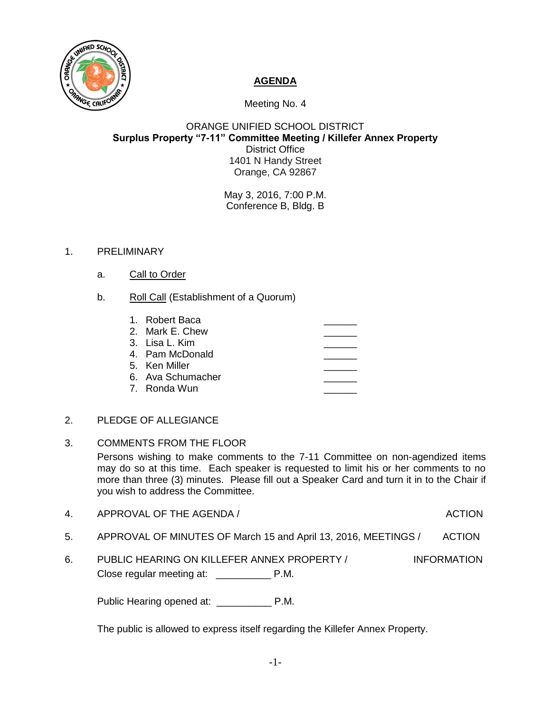

## **AGENDA**

Meeting No. 4

## ORANGE UNIFIED SCHOOL DISTRICT **Surplus Property "7-11" Committee Meeting / Killefer Annex Property** District Office 1401 N Handy Street Orange, CA 92867

May 3, 2016, 7:00 P.M. Conference B, Bldg. B

## 1. PRELIMINARY

- a. Call to Order
- b. Roll Call (Establishment of a Quorum)

| 1. Robert Baca    |  |
|-------------------|--|
| 2. Mark E. Chew   |  |
| 3. Lisa L. Kim    |  |
| 4. Pam McDonald   |  |
| 5. Ken Miller     |  |
| 6. Ava Schumacher |  |
| 7. Ronda Wun      |  |

- 2. PLEDGE OF ALLEGIANCE
- 3. COMMENTS FROM THE FLOOR Persons wishing to make comments to the 7-11 Committee on non-agendized items may do so at this time. Each speaker is requested to limit his or her comments to no more than three (3) minutes. Please fill out a Speaker Card and turn it in to the Chair if you wish to address the Committee.
- 4. APPROVAL OF THE AGENDA / ACTION

- 5. APPROVAL OF MINUTES OF March 15 and April 13, 2016, MEETINGS / ACTION
- 6. PUBLIC HEARING ON KILLEFER ANNEX PROPERTY / INFORMATION Close regular meeting at: \_\_\_\_\_\_\_\_\_\_ P.M.

Public Hearing opened at: \_\_\_\_\_\_\_\_\_\_\_\_\_\_ P.M.

The public is allowed to express itself regarding the Killefer Annex Property.